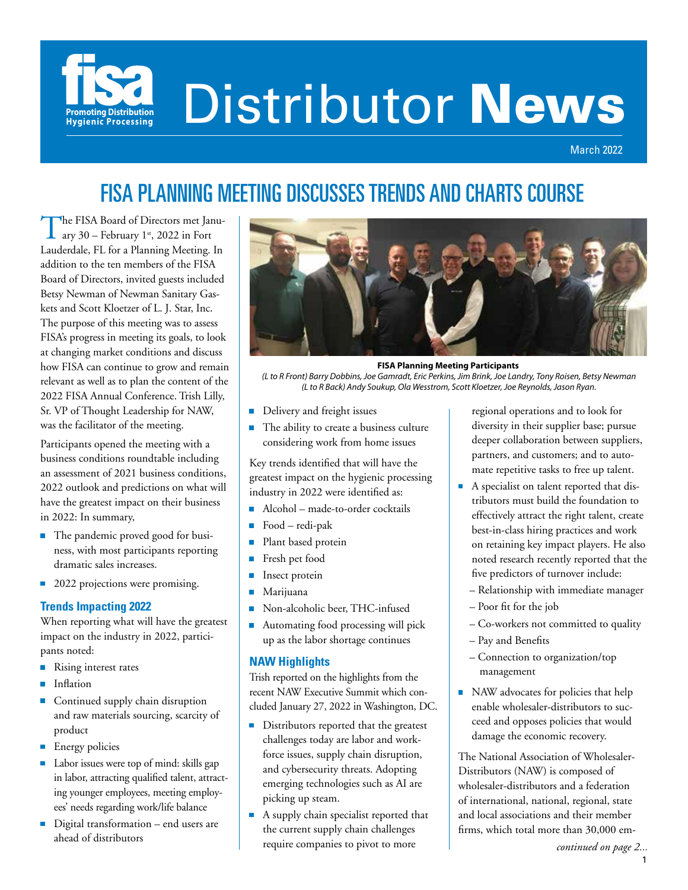

# Distributor News

March 2022

# FISA PLANNING MEETING DISCUSSES TRENDS AND CHARTS COURSE

The FISA Board of Directors met January 30 – February 1st, 2022 in Fort Lauderdale, FL for a Planning Meeting. In addition to the ten members of the FISA Board of Directors, invited guests included Betsy Newman of Newman Sanitary Gaskets and Scott Kloetzer of L. J. Star, Inc. The purpose of this meeting was to assess FISA's progress in meeting its goals, to look at changing market conditions and discuss how FISA can continue to grow and remain relevant as well as to plan the content of the 2022 FISA Annual Conference. Trish Lilly, Sr. VP of Thought Leadership for NAW, was the facilitator of the meeting.

Participants opened the meeting with a business conditions roundtable including an assessment of 2021 business conditions, 2022 outlook and predictions on what will have the greatest impact on their business in 2022: In summary,

- The pandemic proved good for business, with most participants reporting dramatic sales increases.
- 2022 projections were promising.

#### **Trends Impacting 2022**

When reporting what will have the greatest impact on the industry in 2022, participants noted:

- Rising interest rates
- **Inflation**
- Continued supply chain disruption and raw materials sourcing, scarcity of product
- **Energy policies**
- Labor issues were top of mind: skills gap in labor, attracting qualified talent, attracting younger employees, meeting employees' needs regarding work/life balance
- Digital transformation end users are ahead of distributors



**FISA Planning Meeting Participants**

 *(L to R Front) Barry Dobbins, Joe Gamradt, Eric Perkins, Jim Brink, Joe Landry, Tony Roisen, Betsy Newman (L to R Back) Andy Soukup, Ola Wesstrom, Scott Kloetzer, Joe Reynolds, Jason Ryan.*

- Delivery and freight issues
- The ability to create a business culture m. considering work from home issues

Key trends identified that will have the greatest impact on the hygienic processing industry in 2022 were identified as:

- Alcohol made-to-order cocktails
- $\overline{\phantom{a}}$ Food – redi-pak
- $\blacksquare$ Plant based protein
- Ō. Fresh pet food
- $\blacksquare$ Insect protein
- $\blacksquare$ Marijuana
- Non-alcoholic beer, THC-infused Ĥ.
- Automating food processing will pick  $\blacksquare$ up as the labor shortage continues

#### **NAW Highlights**

Trish reported on the highlights from the recent NAW Executive Summit which concluded January 27, 2022 in Washington, DC.

- Distributors reported that the greatest challenges today are labor and workforce issues, supply chain disruption, and cybersecurity threats. Adopting emerging technologies such as AI are picking up steam.
- A supply chain specialist reported that the current supply chain challenges require companies to pivot to more

regional operations and to look for diversity in their supplier base; pursue deeper collaboration between suppliers, partners, and customers; and to automate repetitive tasks to free up talent.

- A specialist on talent reported that distributors must build the foundation to effectively attract the right talent, create best-in-class hiring practices and work on retaining key impact players. He also noted research recently reported that the five predictors of turnover include:
	- Relationship with immediate manager
	- Poor fit for the job
	- Co-workers not committed to quality
	- Pay and Benefits
	- Connection to organization/top management
- NAW advocates for policies that help enable wholesaler-distributors to succeed and opposes policies that would damage the economic recovery.

The National Association of Wholesaler-Distributors (NAW) is composed of wholesaler-distributors and a federation of international, national, regional, state and local associations and their member firms, which total more than 30,000 em-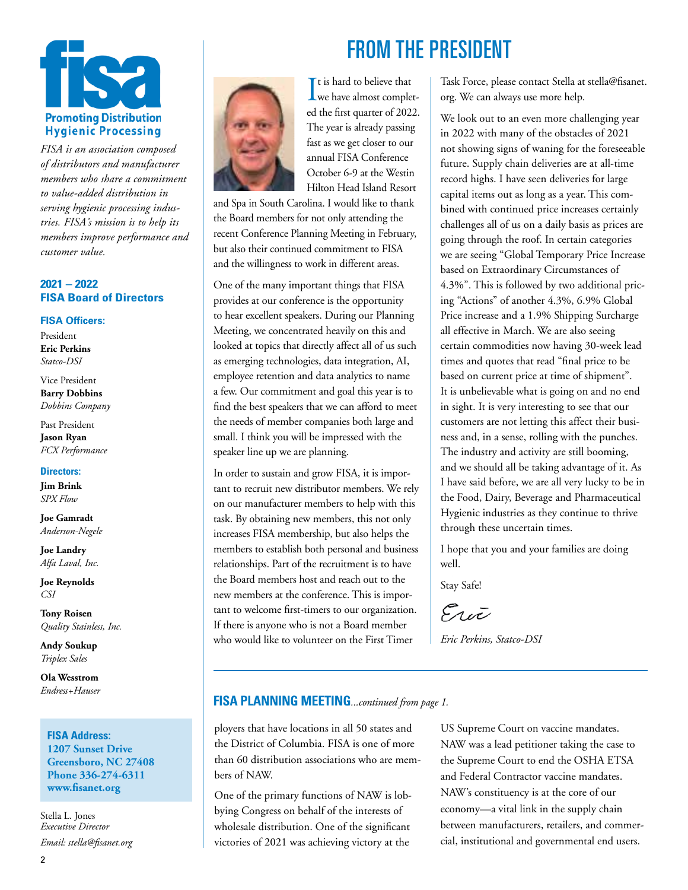

*FISA is an association composed of distributors and manufacturer members who share a commitment to value-added distribution in serving hygienic processing industries. FISA's mission is to help its members improve performance and customer value.*

#### **2021 – 2022 FISA Board of Directors**

#### **FISA Officers:**

President **Eric Perkins** *Statco-DSI*

Vice President **Barry Dobbins** *Dobbins Company*

Past President **Jason Ryan** *FCX Performance*

#### **Directors:**

**Jim Brink** *SPX Flow* 

**Joe Gamradt** *Anderson-Negele*

**Joe Landry** *Alfa Laval, Inc.* 

**Joe Reynolds** *CSI*

**Tony Roisen** *Quality Stainless, Inc.*

**Andy Soukup** *Triplex Sales*

**Ola Wesstrom** *Endress+Hauser*

#### **FISA Address: 1207 Sunset Drive Greensboro, NC 27408 Phone 336-274-6311 www.fisanet.org**

Stella L. Jones *Executive Director Email: stella@fisanet.org*



 $\prod$ t is hard to believe that<br>we have almost complet-It is hard to believe that ed the first quarter of 2022. The year is already passing fast as we get closer to our annual FISA Conference October 6-9 at the Westin Hilton Head Island Resort

and Spa in South Carolina. I would like to thank the Board members for not only attending the recent Conference Planning Meeting in February, but also their continued commitment to FISA and the willingness to work in different areas.

One of the many important things that FISA provides at our conference is the opportunity to hear excellent speakers. During our Planning Meeting, we concentrated heavily on this and looked at topics that directly affect all of us such as emerging technologies, data integration, AI, employee retention and data analytics to name a few. Our commitment and goal this year is to find the best speakers that we can afford to meet the needs of member companies both large and small. I think you will be impressed with the speaker line up we are planning.

In order to sustain and grow FISA, it is important to recruit new distributor members. We rely on our manufacturer members to help with this task. By obtaining new members, this not only increases FISA membership, but also helps the members to establish both personal and business relationships. Part of the recruitment is to have the Board members host and reach out to the new members at the conference. This is important to welcome first-timers to our organization. If there is anyone who is not a Board member who would like to volunteer on the First Timer

# FROM THE PRESIDENT

Task Force, please contact Stella at stella@fisanet. org. We can always use more help.

We look out to an even more challenging year in 2022 with many of the obstacles of 2021 not showing signs of waning for the foreseeable future. Supply chain deliveries are at all-time record highs. I have seen deliveries for large capital items out as long as a year. This combined with continued price increases certainly challenges all of us on a daily basis as prices are going through the roof. In certain categories we are seeing "Global Temporary Price Increase based on Extraordinary Circumstances of 4.3%". This is followed by two additional pricing "Actions" of another 4.3%, 6.9% Global Price increase and a 1.9% Shipping Surcharge all effective in March. We are also seeing certain commodities now having 30-week lead times and quotes that read "final price to be based on current price at time of shipment". It is unbelievable what is going on and no end in sight. It is very interesting to see that our customers are not letting this affect their business and, in a sense, rolling with the punches. The industry and activity are still booming, and we should all be taking advantage of it. As I have said before, we are all very lucky to be in the Food, Dairy, Beverage and Pharmaceutical Hygienic industries as they continue to thrive through these uncertain times.

I hope that you and your families are doing well.

Stay Safe!

Eric

*Eric Perkins, Statco-DSI*

#### **FISA PLANNING MEETING***...continued from page 1.*

ployers that have locations in all 50 states and the District of Columbia. FISA is one of more than 60 distribution associations who are members of NAW.

One of the primary functions of NAW is lobbying Congress on behalf of the interests of wholesale distribution. One of the significant victories of 2021 was achieving victory at the

US Supreme Court on vaccine mandates. NAW was a lead petitioner taking the case to the Supreme Court to end the OSHA ETSA and Federal Contractor vaccine mandates. NAW's constituency is at the core of our economy—a vital link in the supply chain between manufacturers, retailers, and commercial, institutional and governmental end users.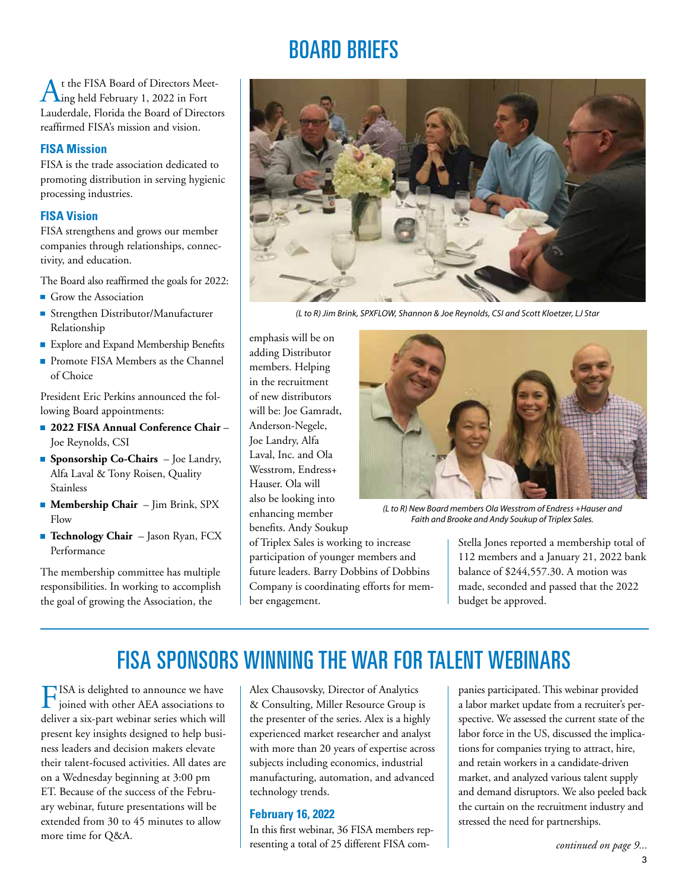# BOARD BRIEFS

At the FISA Board of Directors Meet-ing held February 1, 2022 in Fort Lauderdale, Florida the Board of Directors reaffirmed FISA's mission and vision.

#### **FISA Mission**

FISA is the trade association dedicated to promoting distribution in serving hygienic processing industries.

#### **FISA Vision**

FISA strengthens and grows our member companies through relationships, connectivity, and education.

The Board also reaffirmed the goals for 2022:

- Grow the Association
- Strengthen Distributor/Manufacturer Relationship
- **Explore and Expand Membership Benefits**
- **Promote FISA Members as the Channel** of Choice

President Eric Perkins announced the following Board appointments:

- **2022 FISA Annual Conference Chair** Joe Reynolds, CSI
- **Sponsorship Co-Chairs**  Joe Landry, Alfa Laval & Tony Roisen, Quality Stainless
- **Membership Chair** Jim Brink, SPX Flow
- **Technology Chair** Jason Ryan, FCX Performance

The membership committee has multiple responsibilities. In working to accomplish the goal of growing the Association, the



*(L to R) Jim Brink, SPXFLOW, Shannon & Joe Reynolds, CSI and Scott Kloetzer, LJ Star*

emphasis will be on adding Distributor members. Helping in the recruitment of new distributors will be: Joe Gamradt, Anderson-Negele, Joe Landry, Alfa Laval, Inc. and Ola Wesstrom, Endress+ Hauser. Ola will also be looking into enhancing member benefits. Andy Soukup

of Triplex Sales is working to increase participation of younger members and future leaders. Barry Dobbins of Dobbins Company is coordinating efforts for member engagement.



*(L to R) New Board members Ola Wesstrom of Endress +Hauser and Faith and Brooke and Andy Soukup of Triplex Sales.*

Stella Jones reported a membership total of 112 members and a January 21, 2022 bank balance of \$244,557.30. A motion was made, seconded and passed that the 2022 budget be approved.

# FISA SPONSORS WINNING THE WAR FOR TALENT WEBINARS

FISA is delighted to announce we have joined with other AEA associations to deliver a six-part webinar series which will present key insights designed to help business leaders and decision makers elevate their talent-focused activities. All dates are on a Wednesday beginning at 3:00 pm ET. Because of the success of the February webinar, future presentations will be extended from 30 to 45 minutes to allow more time for Q&A.

Alex Chausovsky, Director of Analytics & Consulting, Miller Resource Group is the presenter of the series. Alex is a highly experienced market researcher and analyst with more than 20 years of expertise across subjects including economics, industrial manufacturing, automation, and advanced technology trends.

#### **February 16, 2022**

In this first webinar, 36 FISA members representing a total of 25 different FISA companies participated. This webinar provided a labor market update from a recruiter's perspective. We assessed the current state of the labor force in the US, discussed the implications for companies trying to attract, hire, and retain workers in a candidate-driven market, and analyzed various talent supply and demand disruptors. We also peeled back the curtain on the recruitment industry and stressed the need for partnerships.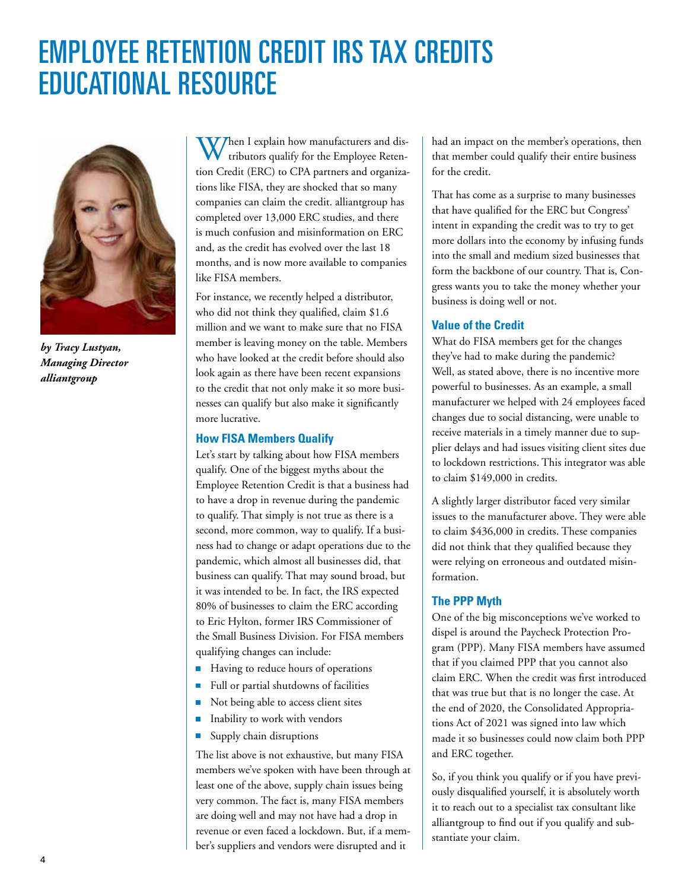# EMPLOYEE RETENTION CREDIT IRS TAX CREDITS EDUCATIONAL RESOURCE



*by Tracy Lustyan, Managing Director alliantgroup*

When I explain how manufacturers and dis-<br>tributors qualify for the Employee Retention Credit (ERC) to CPA partners and organizations like FISA, they are shocked that so many companies can claim the credit. alliantgroup has completed over 13,000 ERC studies, and there is much confusion and misinformation on ERC and, as the credit has evolved over the last 18 months, and is now more available to companies like FISA members.

For instance, we recently helped a distributor, who did not think they qualified, claim \$1.6 million and we want to make sure that no FISA member is leaving money on the table. Members who have looked at the credit before should also look again as there have been recent expansions to the credit that not only make it so more businesses can qualify but also make it significantly more lucrative.

#### **How FISA Members Qualify**

Let's start by talking about how FISA members qualify. One of the biggest myths about the Employee Retention Credit is that a business had to have a drop in revenue during the pandemic to qualify. That simply is not true as there is a second, more common, way to qualify. If a business had to change or adapt operations due to the pandemic, which almost all businesses did, that business can qualify. That may sound broad, but it was intended to be. In fact, the IRS expected 80% of businesses to claim the ERC according to Eric Hylton, former IRS Commissioner of the Small Business Division. For FISA members qualifying changes can include:

- Having to reduce hours of operations
- Full or partial shutdowns of facilities
- Not being able to access client sites
- Inability to work with vendors  $\overline{\phantom{a}}$
- Supply chain disruptions E

The list above is not exhaustive, but many FISA members we've spoken with have been through at least one of the above, supply chain issues being very common. The fact is, many FISA members are doing well and may not have had a drop in revenue or even faced a lockdown. But, if a member's suppliers and vendors were disrupted and it

had an impact on the member's operations, then that member could qualify their entire business for the credit.

That has come as a surprise to many businesses that have qualified for the ERC but Congress' intent in expanding the credit was to try to get more dollars into the economy by infusing funds into the small and medium sized businesses that form the backbone of our country. That is, Congress wants you to take the money whether your business is doing well or not.

#### **Value of the Credit**

What do FISA members get for the changes they've had to make during the pandemic? Well, as stated above, there is no incentive more powerful to businesses. As an example, a small manufacturer we helped with 24 employees faced changes due to social distancing, were unable to receive materials in a timely manner due to supplier delays and had issues visiting client sites due to lockdown restrictions. This integrator was able to claim \$149,000 in credits.

A slightly larger distributor faced very similar issues to the manufacturer above. They were able to claim \$436,000 in credits. These companies did not think that they qualified because they were relying on erroneous and outdated misinformation.

#### **The PPP Myth**

One of the big misconceptions we've worked to dispel is around the Paycheck Protection Program (PPP). Many FISA members have assumed that if you claimed PPP that you cannot also claim ERC. When the credit was first introduced that was true but that is no longer the case. At the end of 2020, the Consolidated Appropriations Act of 2021 was signed into law which made it so businesses could now claim both PPP and ERC together.

So, if you think you qualify or if you have previously disqualified yourself, it is absolutely worth it to reach out to a specialist tax consultant like alliantgroup to find out if you qualify and substantiate your claim.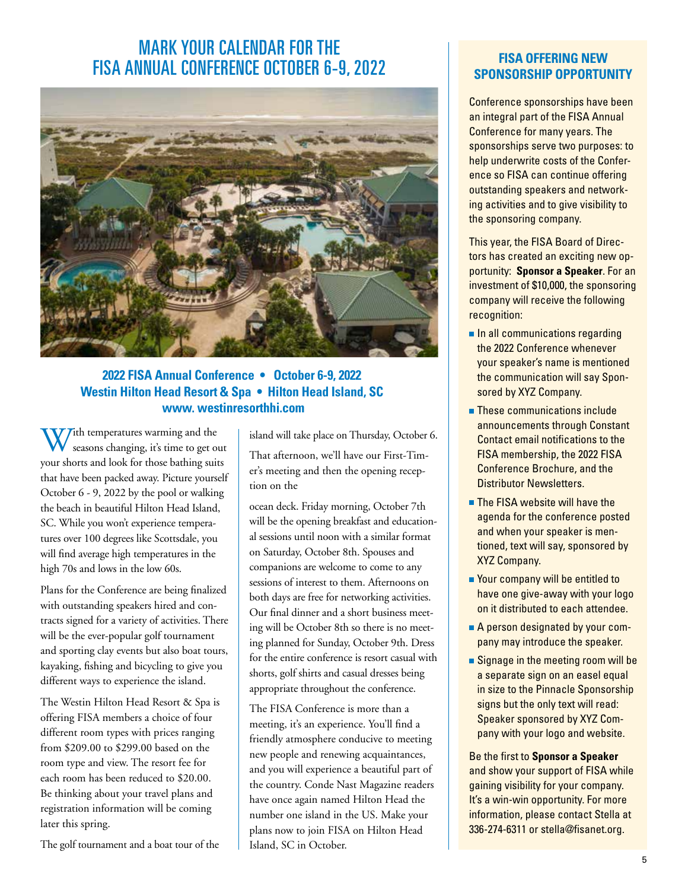## MARK YOUR CALENDAR FOR THE FISA ANNUAL CONFERENCE OCTOBER 6-9, 2022



#### **2022 FISA Annual Conference • October 6-9, 2022 Westin Hilton Head Resort & Spa • Hilton Head Island, SC www. westinresorthhi.com**

 $W$ ith temperatures warming and the seasons changing, it's time to get out your shorts and look for those bathing suits that have been packed away. Picture yourself October 6 - 9, 2022 by the pool or walking the beach in beautiful Hilton Head Island, SC. While you won't experience temperatures over 100 degrees like Scottsdale, you will find average high temperatures in the high 70s and lows in the low 60s.

Plans for the Conference are being finalized with outstanding speakers hired and contracts signed for a variety of activities. There will be the ever-popular golf tournament and sporting clay events but also boat tours, kayaking, fishing and bicycling to give you different ways to experience the island.

The Westin Hilton Head Resort & Spa is offering FISA members a choice of four different room types with prices ranging from \$209.00 to \$299.00 based on the room type and view. The resort fee for each room has been reduced to \$20.00. Be thinking about your travel plans and registration information will be coming later this spring.

The golf tournament and a boat tour of the

island will take place on Thursday, October 6.

That afternoon, we'll have our First-Timer's meeting and then the opening reception on the

ocean deck. Friday morning, October 7th will be the opening breakfast and educational sessions until noon with a similar format on Saturday, October 8th. Spouses and companions are welcome to come to any sessions of interest to them. Afternoons on both days are free for networking activities. Our final dinner and a short business meeting will be October 8th so there is no meeting planned for Sunday, October 9th. Dress for the entire conference is resort casual with shorts, golf shirts and casual dresses being appropriate throughout the conference.

The FISA Conference is more than a meeting, it's an experience. You'll find a friendly atmosphere conducive to meeting new people and renewing acquaintances, and you will experience a beautiful part of the country. Conde Nast Magazine readers have once again named Hilton Head the number one island in the US. Make your plans now to join FISA on Hilton Head Island, SC in October.

#### **FISA OFFERING NEW SPONSORSHIP OPPORTUNITY**

Conference sponsorships have been an integral part of the FISA Annual Conference for many years. The sponsorships serve two purposes: to help underwrite costs of the Conference so FISA can continue offering outstanding speakers and networking activities and to give visibility to the sponsoring company.

This year, the FISA Board of Directors has created an exciting new opportunity: **Sponsor a Speaker**. For an investment of \$10,000, the sponsoring company will receive the following recognition:

- $\blacksquare$  In all communications regarding the 2022 Conference whenever your speaker's name is mentioned the communication will say Sponsored by XYZ Company.
- **These communications include** announcements through Constant Contact email notifications to the FISA membership, the 2022 FISA Conference Brochure, and the Distributor Newsletters.
- **The FISA website will have the** agenda for the conference posted and when your speaker is mentioned, text will say, sponsored by XYZ Company.
- Your company will be entitled to have one give-away with your logo on it distributed to each attendee.
- A person designated by your company may introduce the speaker.
- Signage in the meeting room will be a separate sign on an easel equal in size to the Pinnacle Sponsorship signs but the only text will read: Speaker sponsored by XYZ Company with your logo and website.

Be the first to **Sponsor a Speaker** and show your support of FISA while gaining visibility for your company. It's a win-win opportunity. For more information, please contact Stella at 336-274-6311 or stella@fisanet.org.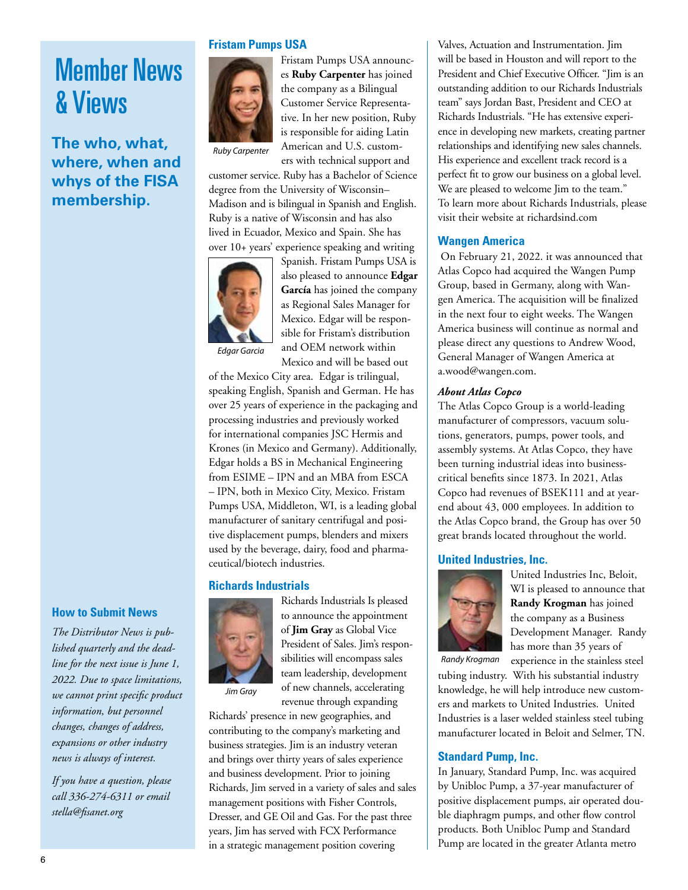# Member News & Views

### **The who, what, where, when and whys of the FISA membership.**

#### **How to Submit News**

*The Distributor News is published quarterly and the deadline for the next issue is June 1, 2022. Due to space limitations, we cannot print specific product information, but personnel changes, changes of address, expansions or other industry news is always of interest.* 

*If you have a question, please call 336-274-6311 or email stella@fisanet.org*

#### **Fristam Pumps USA**



Fristam Pumps USA announces **Ruby Carpenter** has joined the company as a Bilingual Customer Service Representative. In her new position, Ruby is responsible for aiding Latin American and U.S. customers with technical support and

*Ruby Carpenter*

customer service. Ruby has a Bachelor of Science degree from the University of Wisconsin– Madison and is bilingual in Spanish and English. Ruby is a native of Wisconsin and has also lived in Ecuador, Mexico and Spain. She has over 10+ years' experience speaking and writing



Spanish. Fristam Pumps USA is also pleased to announce **Edgar García** has joined the company as Regional Sales Manager for Mexico. Edgar will be responsible for Fristam's distribution and OEM network within Mexico and will be based out

of the Mexico City area. Edgar is trilingual, speaking English, Spanish and German. He has over 25 years of experience in the packaging and processing industries and previously worked for international companies JSC Hermis and Krones (in Mexico and Germany). Additionally, Edgar holds a BS in Mechanical Engineering from ESIME – IPN and an MBA from ESCA – IPN, both in Mexico City, Mexico. Fristam Pumps USA, Middleton, WI, is a leading global manufacturer of sanitary centrifugal and positive displacement pumps, blenders and mixers used by the beverage, dairy, food and pharmaceutical/biotech industries.

#### **Richards Industrials**



Richards Industrials Is pleased to announce the appointment of **Jim Gray** as Global Vice President of Sales. Jim's responsibilities will encompass sales team leadership, development of new channels, accelerating revenue through expanding

Richards' presence in new geographies, and contributing to the company's marketing and business strategies. Jim is an industry veteran and brings over thirty years of sales experience and business development. Prior to joining Richards, Jim served in a variety of sales and sales management positions with Fisher Controls, Dresser, and GE Oil and Gas. For the past three years, Jim has served with FCX Performance in a strategic management position covering

Valves, Actuation and Instrumentation. Jim will be based in Houston and will report to the President and Chief Executive Officer. "Jim is an outstanding addition to our Richards Industrials team" says Jordan Bast, President and CEO at Richards Industrials. "He has extensive experience in developing new markets, creating partner relationships and identifying new sales channels. His experience and excellent track record is a perfect fit to grow our business on a global level. We are pleased to welcome Jim to the team." To learn more about Richards Industrials, please visit their website at richardsind.com

#### **Wangen America**

 On February 21, 2022. it was announced that Atlas Copco had acquired the Wangen Pump Group, based in Germany, along with Wangen America. The acquisition will be finalized in the next four to eight weeks. The Wangen America business will continue as normal and please direct any questions to Andrew Wood, General Manager of Wangen America at a.wood@wangen.com.

#### *About Atlas Copco*

The Atlas Copco Group is a world-leading manufacturer of compressors, vacuum solutions, generators, pumps, power tools, and assembly systems. At Atlas Copco, they have been turning industrial ideas into businesscritical benefits since 1873. In 2021, Atlas Copco had revenues of BSEK111 and at yearend about 43, 000 employees. In addition to the Atlas Copco brand, the Group has over 50 great brands located throughout the world.

#### **United Industries, Inc.**



United Industries Inc, Beloit, WI is pleased to announce that **Randy Krogman** has joined the company as a Business Development Manager. Randy has more than 35 years of

*Randy Krogman*

experience in the stainless steel tubing industry. With his substantial industry knowledge, he will help introduce new customers and markets to United Industries. United Industries is a laser welded stainless steel tubing manufacturer located in Beloit and Selmer, TN.

#### **Standard Pump, Inc.**

In January, Standard Pump, Inc. was acquired by Unibloc Pump, a 37-year manufacturer of positive displacement pumps, air operated double diaphragm pumps, and other flow control products. Both Unibloc Pump and Standard Pump are located in the greater Atlanta metro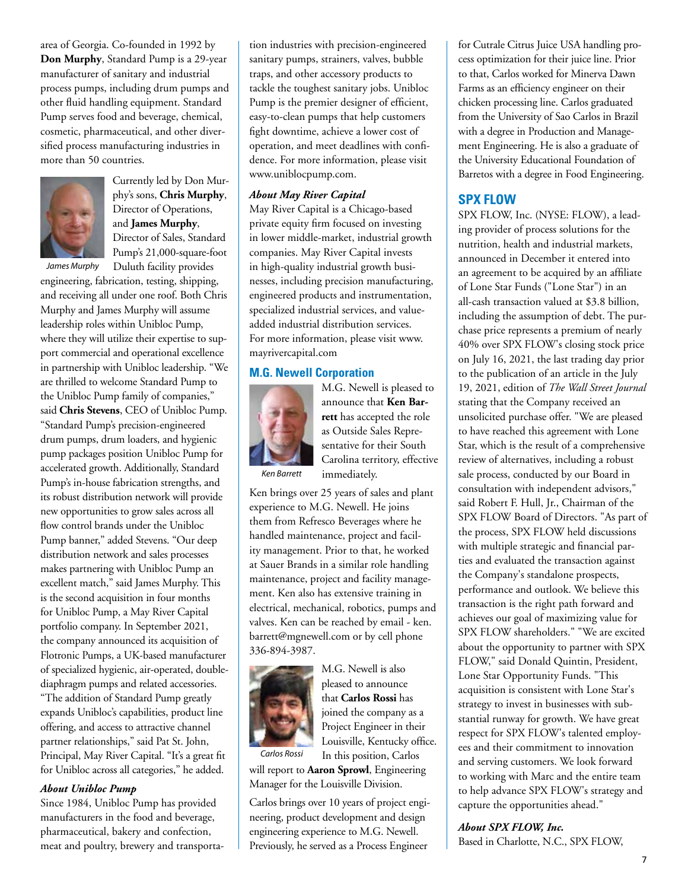area of Georgia. Co-founded in 1992 by **Don Murphy**, Standard Pump is a 29-year manufacturer of sanitary and industrial process pumps, including drum pumps and other fluid handling equipment. Standard Pump serves food and beverage, chemical, cosmetic, pharmaceutical, and other diversified process manufacturing industries in more than 50 countries.



Currently led by Don Murphy's sons, **Chris Murphy**, Director of Operations, and **James Murphy**, Director of Sales, Standard Pump's 21,000-square-foot

Duluth facility provides

*James Murphy*

engineering, fabrication, testing, shipping, and receiving all under one roof. Both Chris Murphy and James Murphy will assume leadership roles within Unibloc Pump, where they will utilize their expertise to support commercial and operational excellence in partnership with Unibloc leadership. "We are thrilled to welcome Standard Pump to the Unibloc Pump family of companies," said **Chris Stevens**, CEO of Unibloc Pump. "Standard Pump's precision-engineered drum pumps, drum loaders, and hygienic pump packages position Unibloc Pump for accelerated growth. Additionally, Standard Pump's in-house fabrication strengths, and its robust distribution network will provide new opportunities to grow sales across all flow control brands under the Unibloc Pump banner," added Stevens. "Our deep distribution network and sales processes makes partnering with Unibloc Pump an excellent match," said James Murphy. This is the second acquisition in four months for Unibloc Pump, a May River Capital portfolio company. In September 2021, the company announced its acquisition of Flotronic Pumps, a UK-based manufacturer of specialized hygienic, air-operated, doublediaphragm pumps and related accessories. "The addition of Standard Pump greatly expands Unibloc's capabilities, product line offering, and access to attractive channel partner relationships," said Pat St. John, Principal, May River Capital. "It's a great fit for Unibloc across all categories," he added.

#### *About Unibloc Pump*

Since 1984, Unibloc Pump has provided manufacturers in the food and beverage, pharmaceutical, bakery and confection, meat and poultry, brewery and transportation industries with precision-engineered sanitary pumps, strainers, valves, bubble traps, and other accessory products to tackle the toughest sanitary jobs. Unibloc Pump is the premier designer of efficient, easy-to-clean pumps that help customers fight downtime, achieve a lower cost of operation, and meet deadlines with confidence. For more information, please visit www.uniblocpump.com.

#### *About May River Capital*

May River Capital is a Chicago-based private equity firm focused on investing in lower middle-market, industrial growth companies. May River Capital invests in high-quality industrial growth businesses, including precision manufacturing, engineered products and instrumentation, specialized industrial services, and valueadded industrial distribution services. For more information, please visit www. mayrivercapital.com

#### **M.G. Newell Corporation**



M.G. Newell is pleased to announce that **Ken Barrett** has accepted the role as Outside Sales Representative for their South Carolina territory, effective immediately.

*Ken Barrett*

Ken brings over 25 years of sales and plant experience to M.G. Newell. He joins them from Refresco Beverages where he handled maintenance, project and facility management. Prior to that, he worked at Sauer Brands in a similar role handling maintenance, project and facility management. Ken also has extensive training in electrical, mechanical, robotics, pumps and valves. Ken can be reached by email - ken. barrett@mgnewell.com or by cell phone 336-894-3987.



M.G. Newell is also pleased to announce that **Carlos Rossi** has joined the company as a Project Engineer in their Louisville, Kentucky office. In this position, Carlos

will report to **Aaron Sprowl**, Engineering Manager for the Louisville Division.

Carlos brings over 10 years of project engineering, product development and design engineering experience to M.G. Newell. Previously, he served as a Process Engineer

for Cutrale Citrus Juice USA handling process optimization for their juice line. Prior to that, Carlos worked for Minerva Dawn Farms as an efficiency engineer on their chicken processing line. Carlos graduated from the University of Sao Carlos in Brazil with a degree in Production and Management Engineering. He is also a graduate of the University Educational Foundation of Barretos with a degree in Food Engineering.

#### **SPX FLOW**

SPX FLOW, Inc. (NYSE: FLOW), a leading provider of process solutions for the nutrition, health and industrial markets, announced in December it entered into an agreement to be acquired by an affiliate of Lone Star Funds ("Lone Star") in an all-cash transaction valued at \$3.8 billion, including the assumption of debt. The purchase price represents a premium of nearly 40% over SPX FLOW's closing stock price on July 16, 2021, the last trading day prior to the publication of an article in the July 19, 2021, edition of *The Wall Street Journal* stating that the Company received an unsolicited purchase offer. "We are pleased to have reached this agreement with Lone Star, which is the result of a comprehensive review of alternatives, including a robust sale process, conducted by our Board in consultation with independent advisors," said Robert F. Hull, Jr., Chairman of the SPX FLOW Board of Directors. "As part of the process, SPX FLOW held discussions with multiple strategic and financial parties and evaluated the transaction against the Company's standalone prospects, performance and outlook. We believe this transaction is the right path forward and achieves our goal of maximizing value for SPX FLOW shareholders." "We are excited about the opportunity to partner with SPX FLOW," said Donald Quintin, President, Lone Star Opportunity Funds. "This acquisition is consistent with Lone Star's strategy to invest in businesses with substantial runway for growth. We have great respect for SPX FLOW's talented employees and their commitment to innovation and serving customers. We look forward to working with Marc and the entire team to help advance SPX FLOW's strategy and capture the opportunities ahead."

*About SPX FLOW, Inc.*

Based in Charlotte, N.C., SPX FLOW,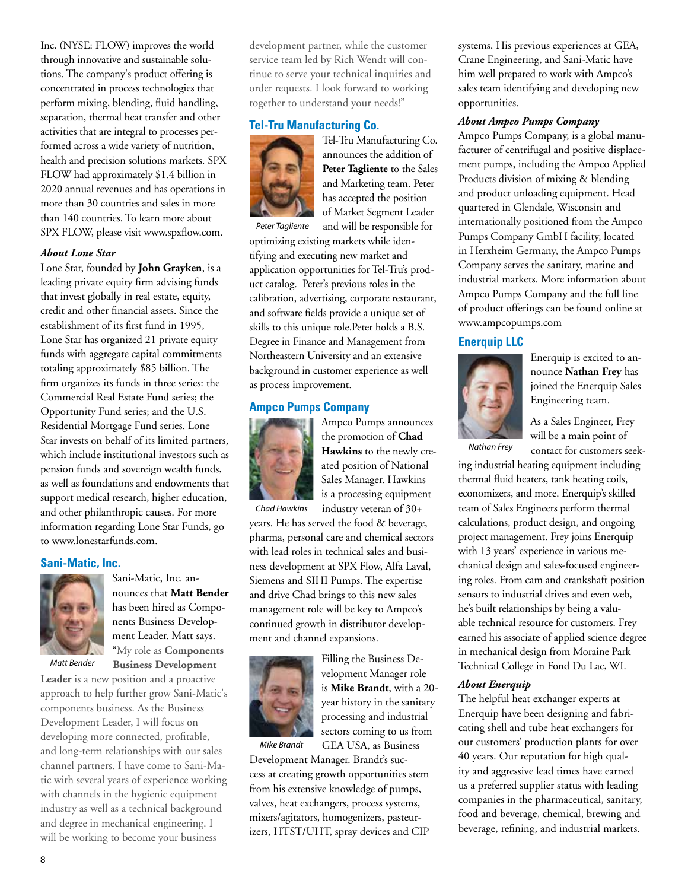Inc. (NYSE: FLOW) improves the world through innovative and sustainable solutions. The company's product offering is concentrated in process technologies that perform mixing, blending, fluid handling, separation, thermal heat transfer and other activities that are integral to processes performed across a wide variety of nutrition, health and precision solutions markets. SPX FLOW had approximately \$1.4 billion in 2020 annual revenues and has operations in more than 30 countries and sales in more than 140 countries. To learn more about SPX FLOW, please visit www.spxflow.com.

#### *About Lone Star*

Lone Star, founded by **John Grayken**, is a leading private equity firm advising funds that invest globally in real estate, equity, credit and other financial assets. Since the establishment of its first fund in 1995, Lone Star has organized 21 private equity funds with aggregate capital commitments totaling approximately \$85 billion. The firm organizes its funds in three series: the Commercial Real Estate Fund series; the Opportunity Fund series; and the U.S. Residential Mortgage Fund series. Lone Star invests on behalf of its limited partners, which include institutional investors such as pension funds and sovereign wealth funds, as well as foundations and endowments that support medical research, higher education, and other philanthropic causes. For more information regarding Lone Star Funds, go to www.lonestarfunds.com.

#### **Sani-Matic, Inc.**



Sani-Matic, Inc. announces that **Matt Bender** has been hired as Components Business Development Leader. Matt says. "My role as **Components Business Development** 

*Matt Bender*

**Leader** is a new position and a proactive approach to help further grow Sani-Matic's components business. As the Business Development Leader, I will focus on developing more connected, profitable, and long-term relationships with our sales channel partners. I have come to Sani-Matic with several years of experience working with channels in the hygienic equipment industry as well as a technical background and degree in mechanical engineering. I will be working to become your business

development partner, while the customer service team led by Rich Wendt will continue to serve your technical inquiries and order requests. I look forward to working together to understand your needs!"

#### **Tel-Tru Manufacturing Co.**



Tel-Tru Manufacturing Co. announces the addition of **Peter Tagliente** to the Sales and Marketing team. Peter has accepted the position of Market Segment Leader and will be responsible for

optimizing existing markets while identifying and executing new market and application opportunities for Tel-Tru's product catalog. Peter's previous roles in the calibration, advertising, corporate restaurant, and software fields provide a unique set of skills to this unique role.Peter holds a B.S. Degree in Finance and Management from Northeastern University and an extensive background in customer experience as well as process improvement.

#### **Ampco Pumps Company**



Ampco Pumps announces the promotion of **Chad Hawkins** to the newly created position of National Sales Manager. Hawkins is a processing equipment industry veteran of 30+

*Chad Hawkins*

years. He has served the food & beverage, pharma, personal care and chemical sectors with lead roles in technical sales and business development at SPX Flow, Alfa Laval, Siemens and SIHI Pumps. The expertise and drive Chad brings to this new sales management role will be key to Ampco's continued growth in distributor development and channel expansions.



Filling the Business Development Manager role is **Mike Brandt**, with a 20 year history in the sanitary processing and industrial sectors coming to us from

GEA USA, as Business

Development Manager. Brandt's success at creating growth opportunities stem from his extensive knowledge of pumps, valves, heat exchangers, process systems, mixers/agitators, homogenizers, pasteurizers, HTST/UHT, spray devices and CIP

systems. His previous experiences at GEA, Crane Engineering, and Sani-Matic have him well prepared to work with Ampco's sales team identifying and developing new opportunities.

#### *About Ampco Pumps Company*

Ampco Pumps Company, is a global manufacturer of centrifugal and positive displacement pumps, including the Ampco Applied Products division of mixing & blending and product unloading equipment. Head quartered in Glendale, Wisconsin and internationally positioned from the Ampco Pumps Company GmbH facility, located in Herxheim Germany, the Ampco Pumps Company serves the sanitary, marine and industrial markets. More information about Ampco Pumps Company and the full line of product offerings can be found online at www.ampcopumps.com

#### **Enerquip LLC**



Enerquip is excited to announce **Nathan Frey** has joined the Enerquip Sales Engineering team.

As a Sales Engineer, Frey will be a main point of contact for customers seek-

*Nathan Frey*

ing industrial heating equipment including thermal fluid heaters, tank heating coils, economizers, and more. Enerquip's skilled team of Sales Engineers perform thermal calculations, product design, and ongoing project management. Frey joins Enerquip with 13 years' experience in various mechanical design and sales-focused engineering roles. From cam and crankshaft position sensors to industrial drives and even web, he's built relationships by being a valuable technical resource for customers. Frey earned his associate of applied science degree in mechanical design from Moraine Park Technical College in Fond Du Lac, WI.

#### *About Enerquip*

The helpful heat exchanger experts at Enerquip have been designing and fabricating shell and tube heat exchangers for our customers' production plants for over 40 years. Our reputation for high quality and aggressive lead times have earned us a preferred supplier status with leading companies in the pharmaceutical, sanitary, food and beverage, chemical, brewing and beverage, refining, and industrial markets.